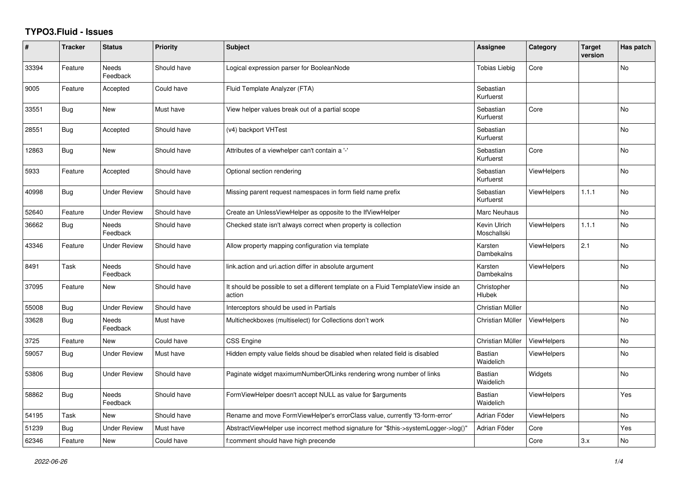## **TYPO3.Fluid - Issues**

| #     | <b>Tracker</b> | <b>Status</b>            | Priority    | Subject                                                                                       | Assignee                    | Category           | <b>Target</b><br>version | Has patch |
|-------|----------------|--------------------------|-------------|-----------------------------------------------------------------------------------------------|-----------------------------|--------------------|--------------------------|-----------|
| 33394 | Feature        | Needs<br>Feedback        | Should have | Logical expression parser for BooleanNode                                                     | <b>Tobias Liebig</b>        | Core               |                          | No        |
| 9005  | Feature        | Accepted                 | Could have  | Fluid Template Analyzer (FTA)                                                                 | Sebastian<br>Kurfuerst      |                    |                          |           |
| 33551 | Bug            | New                      | Must have   | View helper values break out of a partial scope                                               | Sebastian<br>Kurfuerst      | Core               |                          | No        |
| 28551 | <b>Bug</b>     | Accepted                 | Should have | (v4) backport VHTest                                                                          | Sebastian<br>Kurfuerst      |                    |                          | No        |
| 12863 | <b>Bug</b>     | New                      | Should have | Attributes of a viewhelper can't contain a '-'                                                | Sebastian<br>Kurfuerst      | Core               |                          | <b>No</b> |
| 5933  | Feature        | Accepted                 | Should have | Optional section rendering                                                                    | Sebastian<br>Kurfuerst      | <b>ViewHelpers</b> |                          | <b>No</b> |
| 40998 | <b>Bug</b>     | <b>Under Review</b>      | Should have | Missing parent request namespaces in form field name prefix                                   | Sebastian<br>Kurfuerst      | <b>ViewHelpers</b> | 1.1.1                    | No        |
| 52640 | Feature        | <b>Under Review</b>      | Should have | Create an UnlessViewHelper as opposite to the IfViewHelper                                    | Marc Neuhaus                |                    |                          | <b>No</b> |
| 36662 | <b>Bug</b>     | <b>Needs</b><br>Feedback | Should have | Checked state isn't always correct when property is collection                                | Kevin Ulrich<br>Moschallski | <b>ViewHelpers</b> | 1.1.1                    | <b>No</b> |
| 43346 | Feature        | Under Review             | Should have | Allow property mapping configuration via template                                             | Karsten<br>Dambekalns       | <b>ViewHelpers</b> | 2.1                      | No        |
| 8491  | Task           | Needs<br>Feedback        | Should have | link.action and uri.action differ in absolute argument                                        | Karsten<br>Dambekalns       | ViewHelpers        |                          | No        |
| 37095 | Feature        | New                      | Should have | It should be possible to set a different template on a Fluid TemplateView inside an<br>action | Christopher<br>Hlubek       |                    |                          | No        |
| 55008 | Bug            | <b>Under Review</b>      | Should have | Interceptors should be used in Partials                                                       | Christian Müller            |                    |                          | No        |
| 33628 | <b>Bug</b>     | Needs<br>Feedback        | Must have   | Multicheckboxes (multiselect) for Collections don't work                                      | Christian Müller            | <b>ViewHelpers</b> |                          | No        |
| 3725  | Feature        | <b>New</b>               | Could have  | <b>CSS Engine</b>                                                                             | Christian Müller            | ViewHelpers        |                          | <b>No</b> |
| 59057 | <b>Bug</b>     | <b>Under Review</b>      | Must have   | Hidden empty value fields shoud be disabled when related field is disabled                    | <b>Bastian</b><br>Waidelich | <b>ViewHelpers</b> |                          | <b>No</b> |
| 53806 | <b>Bug</b>     | <b>Under Review</b>      | Should have | Paginate widget maximumNumberOfLinks rendering wrong number of links                          | Bastian<br>Waidelich        | Widgets            |                          | <b>No</b> |
| 58862 | <b>Bug</b>     | Needs<br>Feedback        | Should have | FormViewHelper doesn't accept NULL as value for \$arguments                                   | <b>Bastian</b><br>Waidelich | <b>ViewHelpers</b> |                          | Yes       |
| 54195 | Task           | New                      | Should have | Rename and move FormViewHelper's errorClass value, currently 'f3-form-error'                  | Adrian Föder                | <b>ViewHelpers</b> |                          | No        |
| 51239 | Bug            | <b>Under Review</b>      | Must have   | AbstractViewHelper use incorrect method signature for "\$this->systemLogger->log()"           | Adrian Föder                | Core               |                          | Yes       |
| 62346 | Feature        | New                      | Could have  | f:comment should have high precende                                                           |                             | Core               | 3.x                      | No        |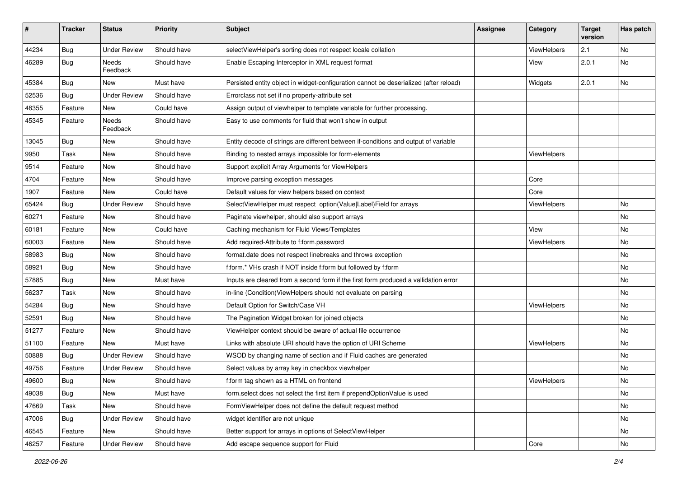| $\sharp$ | <b>Tracker</b> | <b>Status</b>       | <b>Priority</b> | <b>Subject</b>                                                                        | <b>Assignee</b> | Category    | <b>Target</b><br>version | Has patch |
|----------|----------------|---------------------|-----------------|---------------------------------------------------------------------------------------|-----------------|-------------|--------------------------|-----------|
| 44234    | Bug            | <b>Under Review</b> | Should have     | selectViewHelper's sorting does not respect locale collation                          |                 | ViewHelpers | 2.1                      | No        |
| 46289    | Bug            | Needs<br>Feedback   | Should have     | Enable Escaping Interceptor in XML request format                                     |                 | View        | 2.0.1                    | No        |
| 45384    | Bug            | New                 | Must have       | Persisted entity object in widget-configuration cannot be deserialized (after reload) |                 | Widgets     | 2.0.1                    | No        |
| 52536    | Bug            | <b>Under Review</b> | Should have     | Errorclass not set if no property-attribute set                                       |                 |             |                          |           |
| 48355    | Feature        | New                 | Could have      | Assign output of viewhelper to template variable for further processing.              |                 |             |                          |           |
| 45345    | Feature        | Needs<br>Feedback   | Should have     | Easy to use comments for fluid that won't show in output                              |                 |             |                          |           |
| 13045    | Bug            | New                 | Should have     | Entity decode of strings are different between if-conditions and output of variable   |                 |             |                          |           |
| 9950     | Task           | New                 | Should have     | Binding to nested arrays impossible for form-elements                                 |                 | ViewHelpers |                          |           |
| 9514     | Feature        | New                 | Should have     | Support explicit Array Arguments for ViewHelpers                                      |                 |             |                          |           |
| 4704     | Feature        | New                 | Should have     | Improve parsing exception messages                                                    |                 | Core        |                          |           |
| 1907     | Feature        | New                 | Could have      | Default values for view helpers based on context                                      |                 | Core        |                          |           |
| 65424    | Bug            | <b>Under Review</b> | Should have     | SelectViewHelper must respect option(Value Label)Field for arrays                     |                 | ViewHelpers |                          | No        |
| 60271    | Feature        | New                 | Should have     | Paginate viewhelper, should also support arrays                                       |                 |             |                          | No        |
| 60181    | Feature        | New                 | Could have      | Caching mechanism for Fluid Views/Templates                                           |                 | View        |                          | No        |
| 60003    | Feature        | New                 | Should have     | Add required-Attribute to f:form.password                                             |                 | ViewHelpers |                          | No        |
| 58983    | Bug            | New                 | Should have     | format.date does not respect linebreaks and throws exception                          |                 |             |                          | No        |
| 58921    | Bug            | New                 | Should have     | f:form.* VHs crash if NOT inside f:form but followed by f:form                        |                 |             |                          | No        |
| 57885    | Bug            | New                 | Must have       | Inputs are cleared from a second form if the first form produced a vallidation error  |                 |             |                          | No        |
| 56237    | Task           | New                 | Should have     | in-line (Condition) View Helpers should not evaluate on parsing                       |                 |             |                          | No        |
| 54284    | Bug            | New                 | Should have     | Default Option for Switch/Case VH                                                     |                 | ViewHelpers |                          | No        |
| 52591    | Bug            | New                 | Should have     | The Pagination Widget broken for joined objects                                       |                 |             |                          | No        |
| 51277    | Feature        | New                 | Should have     | ViewHelper context should be aware of actual file occurrence                          |                 |             |                          | No        |
| 51100    | Feature        | <b>New</b>          | Must have       | Links with absolute URI should have the option of URI Scheme                          |                 | ViewHelpers |                          | No        |
| 50888    | Bug            | <b>Under Review</b> | Should have     | WSOD by changing name of section and if Fluid caches are generated                    |                 |             |                          | No        |
| 49756    | Feature        | <b>Under Review</b> | Should have     | Select values by array key in checkbox viewhelper                                     |                 |             |                          | No        |
| 49600    | Bug            | New                 | Should have     | f:form tag shown as a HTML on frontend                                                |                 | ViewHelpers |                          | No        |
| 49038    | Bug            | New                 | Must have       | form.select does not select the first item if prependOptionValue is used              |                 |             |                          | No        |
| 47669    | Task           | New                 | Should have     | FormViewHelper does not define the default request method                             |                 |             |                          | No        |
| 47006    | Bug            | <b>Under Review</b> | Should have     | widget identifier are not unique                                                      |                 |             |                          | No        |
| 46545    | Feature        | New                 | Should have     | Better support for arrays in options of SelectViewHelper                              |                 |             |                          | No        |
| 46257    | Feature        | <b>Under Review</b> | Should have     | Add escape sequence support for Fluid                                                 |                 | Core        |                          | No        |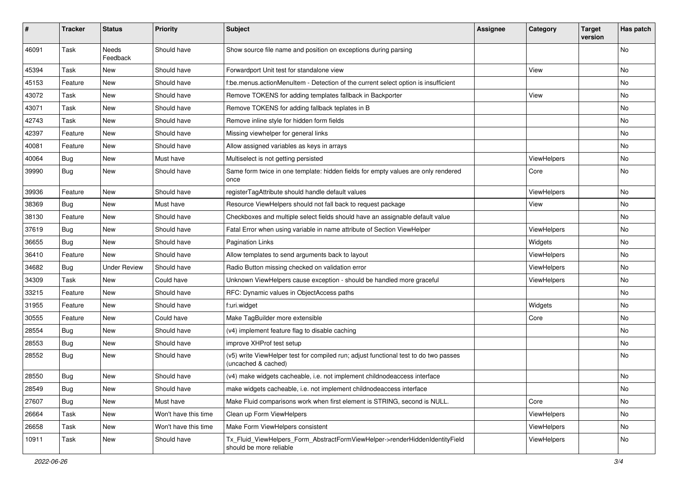| ∦     | <b>Tracker</b> | <b>Status</b>            | <b>Priority</b>      | <b>Subject</b>                                                                                              | <b>Assignee</b> | Category    | <b>Target</b><br>version | Has patch |
|-------|----------------|--------------------------|----------------------|-------------------------------------------------------------------------------------------------------------|-----------------|-------------|--------------------------|-----------|
| 46091 | Task           | <b>Needs</b><br>Feedback | Should have          | Show source file name and position on exceptions during parsing                                             |                 |             |                          | No        |
| 45394 | Task           | New                      | Should have          | Forwardport Unit test for standalone view                                                                   |                 | View        |                          | No        |
| 45153 | Feature        | New                      | Should have          | f:be.menus.actionMenuItem - Detection of the current select option is insufficient                          |                 |             |                          | No        |
| 43072 | Task           | New                      | Should have          | Remove TOKENS for adding templates fallback in Backporter                                                   |                 | View        |                          | No        |
| 43071 | Task           | New                      | Should have          | Remove TOKENS for adding fallback teplates in B                                                             |                 |             |                          | No.       |
| 42743 | Task           | New                      | Should have          | Remove inline style for hidden form fields                                                                  |                 |             |                          | No        |
| 42397 | Feature        | New                      | Should have          | Missing viewhelper for general links                                                                        |                 |             |                          | No        |
| 40081 | Feature        | New                      | Should have          | Allow assigned variables as keys in arrays                                                                  |                 |             |                          | No        |
| 40064 | Bug            | New                      | Must have            | Multiselect is not getting persisted                                                                        |                 | ViewHelpers |                          | No        |
| 39990 | Bug            | New                      | Should have          | Same form twice in one template: hidden fields for empty values are only rendered<br>once                   |                 | Core        |                          | No        |
| 39936 | Feature        | New                      | Should have          | registerTagAttribute should handle default values                                                           |                 | ViewHelpers |                          | No        |
| 38369 | Bug            | <b>New</b>               | Must have            | Resource ViewHelpers should not fall back to request package                                                |                 | View        |                          | No.       |
| 38130 | Feature        | New                      | Should have          | Checkboxes and multiple select fields should have an assignable default value                               |                 |             |                          | No        |
| 37619 | Bug            | New                      | Should have          | Fatal Error when using variable in name attribute of Section ViewHelper                                     |                 | ViewHelpers |                          | No        |
| 36655 | Bug            | New                      | Should have          | <b>Pagination Links</b>                                                                                     |                 | Widgets     |                          | No        |
| 36410 | Feature        | New                      | Should have          | Allow templates to send arguments back to layout                                                            |                 | ViewHelpers |                          | No        |
| 34682 | Bug            | <b>Under Review</b>      | Should have          | Radio Button missing checked on validation error                                                            |                 | ViewHelpers |                          | No.       |
| 34309 | Task           | New                      | Could have           | Unknown ViewHelpers cause exception - should be handled more graceful                                       |                 | ViewHelpers |                          | No        |
| 33215 | Feature        | New                      | Should have          | RFC: Dynamic values in ObjectAccess paths                                                                   |                 |             |                          | No.       |
| 31955 | Feature        | New                      | Should have          | f:uri.widget                                                                                                |                 | Widgets     |                          | No        |
| 30555 | Feature        | New                      | Could have           | Make TagBuilder more extensible                                                                             |                 | Core        |                          | No        |
| 28554 | <b>Bug</b>     | New                      | Should have          | (v4) implement feature flag to disable caching                                                              |                 |             |                          | No        |
| 28553 | Bug            | New                      | Should have          | improve XHProf test setup                                                                                   |                 |             |                          | No        |
| 28552 | Bug            | New                      | Should have          | (v5) write ViewHelper test for compiled run; adjust functional test to do two passes<br>(uncached & cached) |                 |             |                          | No        |
| 28550 | <b>Bug</b>     | New                      | Should have          | (v4) make widgets cacheable, i.e. not implement childnodeaccess interface                                   |                 |             |                          | No        |
| 28549 | <b>Bug</b>     | New                      | Should have          | make widgets cacheable, i.e. not implement childnodeaccess interface                                        |                 |             |                          | No        |
| 27607 | <b>Bug</b>     | New                      | Must have            | Make Fluid comparisons work when first element is STRING, second is NULL.                                   |                 | Core        |                          | No        |
| 26664 | Task           | New                      | Won't have this time | Clean up Form ViewHelpers                                                                                   |                 | ViewHelpers |                          | No        |
| 26658 | Task           | New                      | Won't have this time | Make Form ViewHelpers consistent                                                                            |                 | ViewHelpers |                          | No        |
| 10911 | Task           | New                      | Should have          | Tx_Fluid_ViewHelpers_Form_AbstractFormViewHelper->renderHiddenIdentityField<br>should be more reliable      |                 | ViewHelpers |                          | No        |